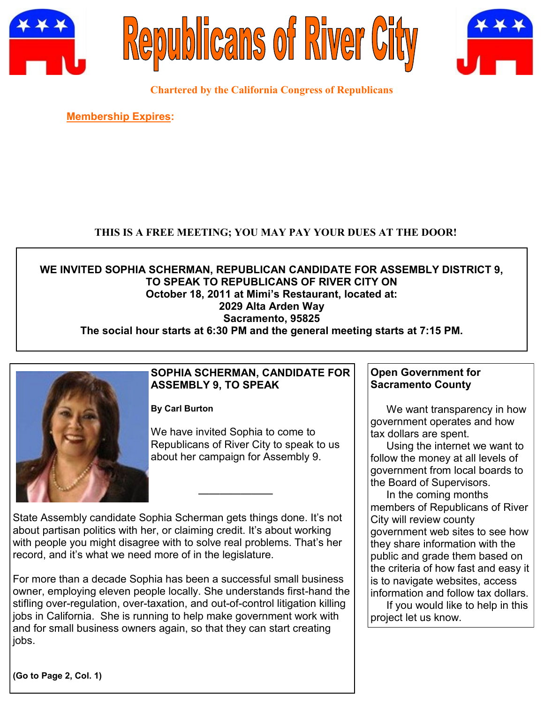





**Chartered by the California Congress of Republicans**

**Membership Expires:** 

# **THIS IS A FREE MEETING; YOU MAY PAY YOUR DUES AT THE DOOR!**

### **WE INVITED SOPHIA SCHERMAN, REPUBLICAN CANDIDATE FOR ASSEMBLY DISTRICT 9, TO SPEAK TO REPUBLICANS OF RIVER CITY ON October 18, 2011 at Mimi's Restaurant, located at: 2029 Alta Arden Way Sacramento, 95825 The social hour starts at 6:30 PM and the general meeting starts at 7:15 PM.**



# **SOPHIA SCHERMAN, CANDIDATE FOR ASSEMBLY 9, TO SPEAK**

**By Carl Burton**

We have invited Sophia to come to Republicans of River City to speak to us about her campaign for Assembly 9.

State Assembly candidate Sophia Scherman gets things done. It's not about partisan politics with her, or claiming credit. It's about working with people you might disagree with to solve real problems. That's her record, and it's what we need more of in the legislature.

———————

For more than a decade Sophia has been a successful small business owner, employing eleven people locally. She understands first-hand the stifling over-regulation, over-taxation, and out-of-control litigation killing jobs in California. She is running to help make government work with and for small business owners again, so that they can start creating jobs.

**Open Government for Sacramento County**

We want transparency in how government operates and how tax dollars are spent.

Using the internet we want to follow the money at all levels of government from local boards to the Board of Supervisors.

In the coming months members of Republicans of River City will review county government web sites to see how they share information with the public and grade them based on the criteria of how fast and easy it is to navigate websites, access information and follow tax dollars.

If you would like to help in this project let us know.

**(Go to Page 2, Col. 1)**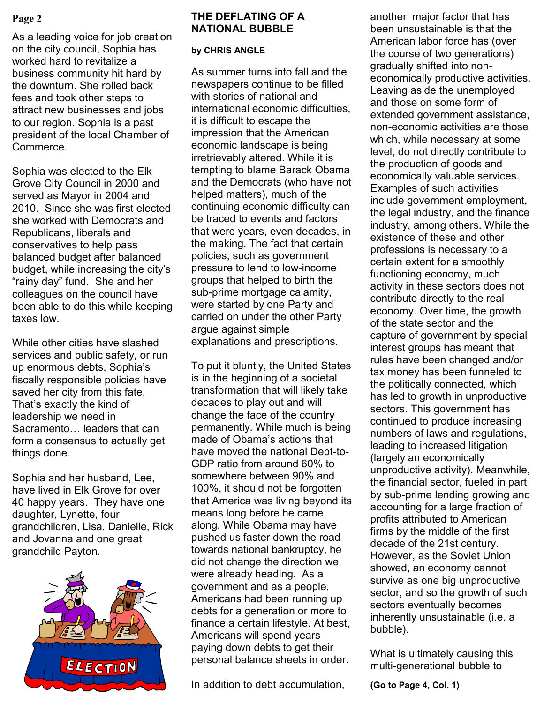As a leading voice for job creation on the city council, Sophia has worked hard to revitalize a business community hit hard by the downturn. She rolled back fees and took other steps to attract new businesses and jobs to our region. Sophia is a past president of the local Chamber of Commerce.

Sophia was elected to the Elk Grove City Council in 2000 and served as Mayor in 2004 and 2010. Since she was first elected she worked with Democrats and Republicans, liberals and conservatives to help pass balanced budget after balanced budget, while increasing the city's "rainy day" fund. She and her colleagues on the council have been able to do this while keeping taxes low.

While other cities have slashed services and public safety, or run up enormous debts, Sophia's fiscally responsible policies have saved her city from this fate. That's exactly the kind of leadership we need in Sacramento… leaders that can form a consensus to actually get things done.

Sophia and her husband, Lee, have lived in Elk Grove for over 40 happy years. They have one daughter, Lynette, four grandchildren, Lisa, Danielle, Rick and Jovanna and one great grandchild Payton.



#### **Page 2 EXECUTE:** THE DEFLATING OF A **another major factor that has THE DEFLATING OF A NATIONAL BUBBLE**

#### **by CHRIS ANGLE**

As summer turns into fall and the newspapers continue to be filled with stories of national and international economic difficulties, it is difficult to escape the impression that the American economic landscape is being irretrievably altered. While it is tempting to blame Barack Obama and the Democrats (who have not helped matters), much of the continuing economic difficulty can be traced to events and factors that were years, even decades, in the making. The fact that certain policies, such as government pressure to lend to low-income groups that helped to birth the sub-prime mortgage calamity, were started by one Party and carried on under the other Party argue against simple explanations and prescriptions.

To put it bluntly, the United States is in the beginning of a societal transformation that will likely take decades to play out and will change the face of the country permanently. While much is being made of Obama's actions that have moved the national Debt-to-GDP ratio from around 60% to somewhere between 90% and 100%, it should not be forgotten that America was living beyond its means long before he came along. While Obama may have pushed us faster down the road towards national bankruptcy, he did not change the direction we were already heading. As a government and as a people, Americans had been running up debts for a generation or more to finance a certain lifestyle. At best, Americans will spend years paying down debts to get their personal balance sheets in order.

In addition to debt accumulation,

been unsustainable is that the American labor force has (over the course of two generations) gradually shifted into noneconomically productive activities. Leaving aside the unemployed and those on some form of extended government assistance, non-economic activities are those which, while necessary at some level, do not directly contribute to the production of goods and economically valuable services. Examples of such activities include government employment, the legal industry, and the finance industry, among others. While the existence of these and other professions is necessary to a certain extent for a smoothly functioning economy, much activity in these sectors does not contribute directly to the real economy. Over time, the growth of the state sector and the capture of government by special interest groups has meant that rules have been changed and/or tax money has been funneled to the politically connected, which has led to growth in unproductive sectors. This government has continued to produce increasing numbers of laws and regulations, leading to increased litigation (largely an economically unproductive activity). Meanwhile, the financial sector, fueled in part by sub-prime lending growing and accounting for a large fraction of profits attributed to American firms by the middle of the first decade of the 21st century. However, as the Soviet Union showed, an economy cannot survive as one big unproductive sector, and so the growth of such sectors eventually becomes inherently unsustainable (i.e. a bubble).

What is ultimately causing this multi-generational bubble to

**(Go to Page 4, Col. 1)**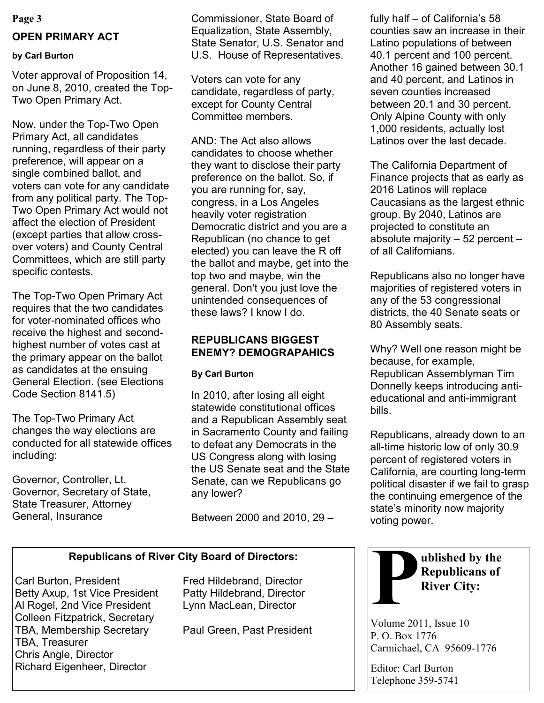#### **Page 3**

# **OPEN PRIMARY ACT**

# **by Carl Burton**

Voter approval of Proposition 14, on June 8, 2010, created the Top-Two Open Primary Act.

Now, under the Top-Two Open Primary Act, all candidates running, regardless of their party preference, will appear on a single combined ballot, and voters can vote for any candidate from any political party. The Top-Two Open Primary Act would not affect the election of President (except parties that allow crossover voters) and County Central Committees, which are still party specific contests.

The Top-Two Open Primary Act requires that the two candidates for voter-nominated offices who receive the highest and secondhighest number of votes cast at the primary appear on the ballot as candidates at the ensuing General Election. (see Elections Code Section 8141.5)

The Top-Two Primary Act changes the way elections are conducted for all statewide offices including:

Governor, Controller, Lt. Governor, Secretary of State, State Treasurer, Attorney General, Insurance

Commissioner, State Board of Equalization, State Assembly, State Senator, U.S. Senator and U.S. House of Representatives.

Voters can vote for any candidate, regardless of party, except for County Central Committee members.

AND: The Act also allows candidates to choose whether they want to disclose their party preference on the ballot. So, if you are running for, say, congress, in a Los Angeles heavily voter registration Democratic district and you are a Republican (no chance to get elected) you can leave the R off the ballot and maybe, get into the top two and maybe, win the general. Don't you just love the unintended consequences of these laws? I know I do.

# **REPUBLICANS BIGGEST ENEMY? DEMOGRAPAHICS**

# **By Carl Burton**

In 2010, after losing all eight statewide constitutional offices and a Republican Assembly seat in Sacramento County and failing to defeat any Democrats in the US Congress along with losing the US Senate seat and the State Senate, can we Republicans go any lower?

Between 2000 and 2010, 29 –

# **Republicans of River City Board of Directors:**

Carl Burton, President Fred Hildebrand, Director Betty Axup, 1st Vice President Patty Hildebrand, Director Al Rogel, 2nd Vice President Lynn MacLean, Director Colleen Fitzpatrick, Secretary TBA, Membership Secretary Paul Green, Past President TBA, Treasurer Chris Angle, Director Richard Eigenheer, Director

fully half – of California's 58 counties saw an increase in their Latino populations of between 40.1 percent and 100 percent. Another 16 gained between 30.1 and 40 percent, and Latinos in seven counties increased between 20.1 and 30 percent. Only Alpine County with only 1,000 residents, actually lost Latinos over the last decade.

The California Department of Finance projects that as early as 2016 Latinos will replace Caucasians as the largest ethnic group. By 2040, Latinos are projected to constitute an absolute majority – 52 percent – of all Californians.

Republicans also no longer have majorities of registered voters in any of the 53 congressional districts, the 40 Senate seats or 80 Assembly seats.

Why? Well one reason might be because, for example, Republican Assemblyman Tim Donnelly keeps introducing antieducational and anti-immigrant bills.

Republicans, already down to an all-time historic low of only 30.9 percent of registered voters in California, are courting long-term political disaster if we fail to grasp the continuing emergence of the state's minority now majority voting power.



Volume 2011, Issue 10 P. O. Box 1776 Carmichael, CA 95609-1776

Editor: Carl Burton Telephone 359-5741